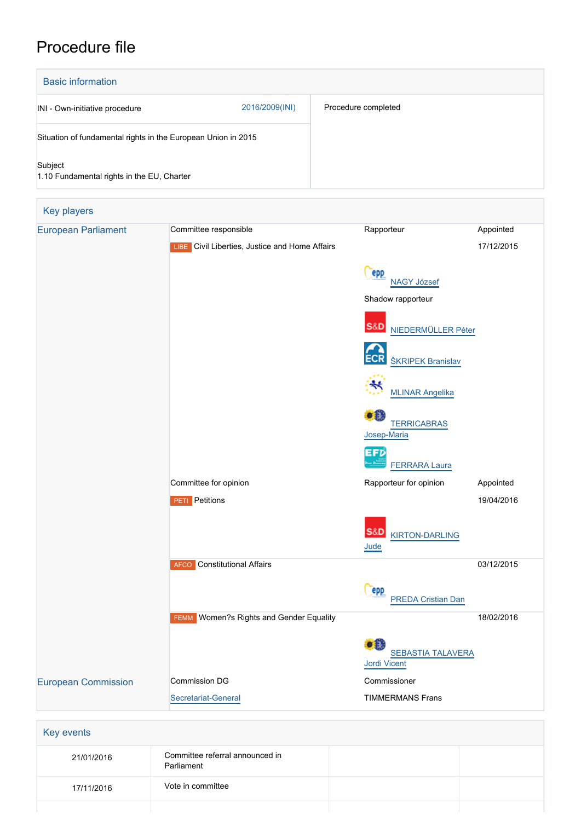## Procedure file

| <b>Basic information</b>                                      |                |                     |  |  |
|---------------------------------------------------------------|----------------|---------------------|--|--|
| INI - Own-initiative procedure                                | 2016/2009(INI) | Procedure completed |  |  |
| Situation of fundamental rights in the European Union in 2015 |                |                     |  |  |
| Subject<br>1.10 Fundamental rights in the EU, Charter         |                |                     |  |  |

| Key players                |                                                   |                                         |            |
|----------------------------|---------------------------------------------------|-----------------------------------------|------------|
| <b>European Parliament</b> | Committee responsible                             | Rapporteur                              | Appointed  |
|                            | LIBE Civil Liberties, Justice and Home Affairs    |                                         | 17/12/2015 |
|                            |                                                   | <b>PPP</b>                              |            |
|                            |                                                   | <b>NAGY József</b>                      |            |
|                            |                                                   | Shadow rapporteur                       |            |
|                            |                                                   |                                         |            |
|                            |                                                   | S&D NIEDERMÜLLER Péter                  |            |
|                            |                                                   | <b>ŠKRIPEK Branislav</b>                |            |
|                            |                                                   |                                         |            |
|                            |                                                   | <b>MLINAR Angelika</b>                  |            |
|                            |                                                   | æ                                       |            |
|                            |                                                   | <b>TERRICABRAS</b><br>Josep-Maria       |            |
|                            |                                                   | <b>EFD</b>                              |            |
|                            |                                                   | <b>FERRARA Laura</b>                    |            |
|                            | Committee for opinion                             | Rapporteur for opinion                  | Appointed  |
|                            | <b>PETI</b> Petitions                             |                                         | 19/04/2016 |
|                            |                                                   |                                         |            |
|                            |                                                   | S&D<br><b>KIRTON-DARLING</b><br>Jude    |            |
|                            | <b>AFCO</b> Constitutional Affairs                |                                         | 03/12/2015 |
|                            |                                                   |                                         |            |
|                            |                                                   | <b>epp</b><br><b>PREDA Cristian Dan</b> |            |
|                            | Women?s Rights and Gender Equality<br><b>FEMM</b> |                                         | 18/02/2016 |
|                            |                                                   |                                         |            |
|                            |                                                   | •<br><b>SEBASTIA TALAVERA</b>           |            |
|                            |                                                   | Jordi Vicent                            |            |
| <b>European Commission</b> | <b>Commission DG</b>                              | Commissioner                            |            |
|                            | Secretariat-General                               | <b>TIMMERMANS Frans</b>                 |            |
|                            |                                                   |                                         |            |
| Key events                 |                                                   |                                         |            |
| 21/01/2016                 | Committee referral announced in<br>Parliament     |                                         |            |

17/11/2016 Vote in committee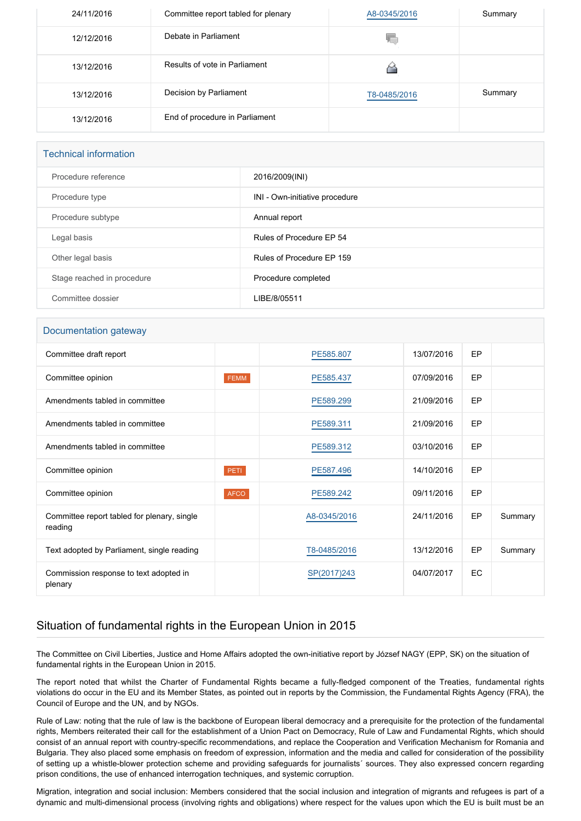| 24/11/2016 | Committee report tabled for plenary | A8-0345/2016 | Summary |
|------------|-------------------------------------|--------------|---------|
| 12/12/2016 | Debate in Parliament                | 40.          |         |
| 13/12/2016 | Results of vote in Parliament       |              |         |
| 13/12/2016 | Decision by Parliament              | T8-0485/2016 | Summary |
| 13/12/2016 | End of procedure in Parliament      |              |         |

| <b>Technical information</b> |                                |  |  |
|------------------------------|--------------------------------|--|--|
| Procedure reference          | 2016/2009(INI)                 |  |  |
| Procedure type               | INI - Own-initiative procedure |  |  |
| Procedure subtype            | Annual report                  |  |  |
| Legal basis                  | Rules of Procedure EP 54       |  |  |
| Other legal basis            | Rules of Procedure EP 159      |  |  |
| Stage reached in procedure   | Procedure completed            |  |  |
| Committee dossier            | LIBE/8/05511                   |  |  |

## Documentation gateway

| Committee draft report                                 |             | PE585.807    | 13/07/2016 | EP |         |
|--------------------------------------------------------|-------------|--------------|------------|----|---------|
| Committee opinion                                      | FEMM        | PE585.437    | 07/09/2016 | EP |         |
| Amendments tabled in committee                         |             | PE589.299    | 21/09/2016 | EP |         |
| Amendments tabled in committee                         |             | PE589.311    | 21/09/2016 | EP |         |
| Amendments tabled in committee                         |             | PE589.312    | 03/10/2016 | EP |         |
| Committee opinion                                      | PETI        | PE587.496    | 14/10/2016 | EP |         |
| Committee opinion                                      | <b>AFCO</b> | PE589.242    | 09/11/2016 | EP |         |
| Committee report tabled for plenary, single<br>reading |             | A8-0345/2016 | 24/11/2016 | EP | Summary |
| Text adopted by Parliament, single reading             |             | T8-0485/2016 | 13/12/2016 | EP | Summary |
| Commission response to text adopted in<br>plenary      |             | SP(2017)243  | 04/07/2017 | EC |         |

## Situation of fundamental rights in the European Union in 2015

The Committee on Civil Liberties, Justice and Home Affairs adopted the own-initiative report by József NAGY (EPP, SK) on the situation of fundamental rights in the European Union in 2015.

The report noted that whilst the Charter of Fundamental Rights became a fully-fledged component of the Treaties, fundamental rights violations do occur in the EU and its Member States, as pointed out in reports by the Commission, the Fundamental Rights Agency (FRA), the Council of Europe and the UN, and by NGOs.

Rule of Law: noting that the rule of law is the backbone of European liberal democracy and a prerequisite for the protection of the fundamental rights, Members reiterated their call for the establishment of a Union Pact on Democracy, Rule of Law and Fundamental Rights, which should consist of an annual report with country-specific recommendations, and replace the Cooperation and Verification Mechanism for Romania and Bulgaria. They also placed some emphasis on freedom of expression, information and the media and called for consideration of the possibility of setting up a whistle-blower protection scheme and providing safeguards for journalists´ sources. They also expressed concern regarding prison conditions, the use of enhanced interrogation techniques, and systemic corruption.

Migration, integration and social inclusion: Members considered that the social inclusion and integration of migrants and refugees is part of a dynamic and multi-dimensional process (involving rights and obligations) where respect for the values upon which the EU is built must be an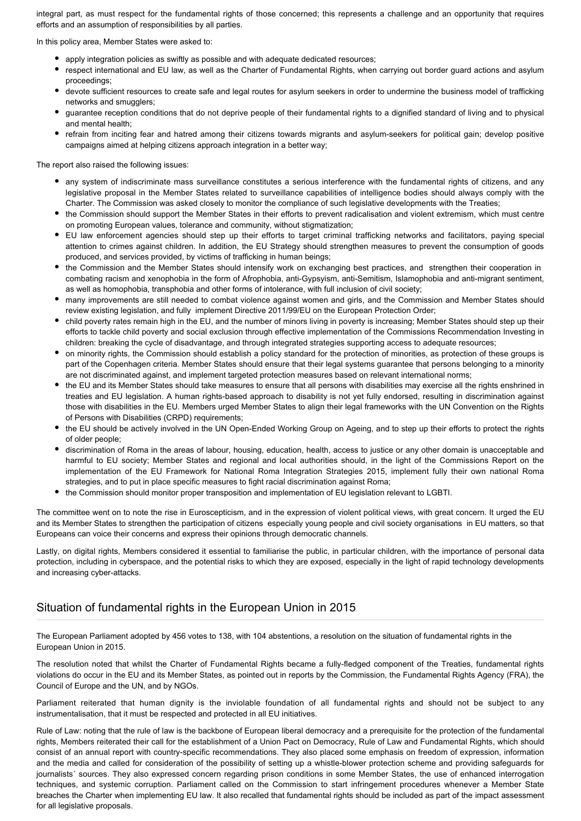integral part, as must respect for the fundamental rights of those concerned; this represents a challenge and an opportunity that requires efforts and an assumption of responsibilities by all parties.

In this policy area, Member States were asked to:

- apply integration policies as swiftly as possible and with adequate dedicated resources;
- respect international and EU law, as well as the Charter of Fundamental Rights, when carrying out border guard actions and asylum proceedings;
- devote sufficient resources to create safe and legal routes for asylum seekers in order to undermine the business model of trafficking networks and smugglers;
- guarantee reception conditions that do not deprive people of their fundamental rights to a dignified standard of living and to physical and mental health;
- refrain from inciting fear and hatred among their citizens towards migrants and asylum-seekers for political gain; develop positive campaigns aimed at helping citizens approach integration in a better way;

The report also raised the following issues:

- any system of indiscriminate mass surveillance constitutes a serious interference with the fundamental rights of citizens, and any legislative proposal in the Member States related to surveillance capabilities of intelligence bodies should always comply with the Charter. The Commission was asked closely to monitor the compliance of such legislative developments with the Treaties;
- the Commission should support the Member States in their efforts to prevent radicalisation and violent extremism, which must centre on promoting European values, tolerance and community, without stigmatization;
- EU law enforcement agencies should step up their efforts to target criminal trafficking networks and facilitators, paying special attention to crimes against children. In addition, the EU Strategy should strengthen measures to prevent the consumption of goods produced, and services provided, by victims of trafficking in human beings;
- the Commission and the Member States should intensify work on exchanging best practices, and strengthen their cooperation in combating racism and xenophobia in the form of Afrophobia, anti-Gypsyism, anti-Semitism, Islamophobia and anti-migrant sentiment, as well as homophobia, transphobia and other forms of intolerance, with full inclusion of civil society;
- many improvements are still needed to combat violence against women and girls, and the Commission and Member States should review existing legislation, and fully implement Directive 2011/99/EU on the European Protection Order;
- child poverty rates remain high in the EU, and the number of minors living in poverty is increasing; Member States should step up their efforts to tackle child poverty and social exclusion through effective implementation of the Commissions Recommendation Investing in children: breaking the cycle of disadvantage, and through integrated strategies supporting access to adequate resources;
- on minority rights, the Commission should establish a policy standard for the protection of minorities, as protection of these groups is part of the Copenhagen criteria. Member States should ensure that their legal systems guarantee that persons belonging to a minority are not discriminated against, and implement targeted protection measures based on relevant international norms;
- the EU and its Member States should take measures to ensure that all persons with disabilities may exercise all the rights enshrined in treaties and EU legislation. A human rights-based approach to disability is not yet fully endorsed, resulting in discrimination against those with disabilities in the EU. Members urged Member States to align their legal frameworks with the UN Convention on the Rights of Persons with Disabilities (CRPD) requirements;
- the EU should be actively involved in the UN Open-Ended Working Group on Ageing, and to step up their efforts to protect the rights of older people;
- discrimination of Roma in the areas of labour, housing, education, health, access to justice or any other domain is unacceptable and harmful to EU society; Member States and regional and local authorities should, in the light of the Commissions Report on the implementation of the EU Framework for National Roma Integration Strategies 2015, implement fully their own national Roma strategies, and to put in place specific measures to fight racial discrimination against Roma;
- the Commission should monitor proper transposition and implementation of EU legislation relevant to LGBTI.

The committee went on to note the rise in Euroscepticism, and in the expression of violent political views, with great concern. It urged the EU and its Member States to strengthen the participation of citizens especially young people and civil society organisations in EU matters, so that Europeans can voice their concerns and express their opinions through democratic channels.

Lastly, on digital rights, Members considered it essential to familiarise the public, in particular children, with the importance of personal data protection, including in cyberspace, and the potential risks to which they are exposed, especially in the light of rapid technology developments and increasing cyber-attacks.

## Situation of fundamental rights in the European Union in 2015

The European Parliament adopted by 456 votes to 138, with 104 abstentions, a resolution on the situation of fundamental rights in the European Union in 2015.

The resolution noted that whilst the Charter of Fundamental Rights became a fully-fledged component of the Treaties, fundamental rights violations do occur in the EU and its Member States, as pointed out in reports by the Commission, the Fundamental Rights Agency (FRA), the Council of Europe and the UN, and by NGOs.

Parliament reiterated that human dignity is the inviolable foundation of all fundamental rights and should not be subject to any instrumentalisation, that it must be respected and protected in all EU initiatives.

Rule of Law: noting that the rule of law is the backbone of European liberal democracy and a prerequisite for the protection of the fundamental rights, Members reiterated their call for the establishment of a Union Pact on Democracy, Rule of Law and Fundamental Rights, which should consist of an annual report with country-specific recommendations. They also placed some emphasis on freedom of expression, information and the media and called for consideration of the possibility of setting up a whistle-blower protection scheme and providing safeguards for journalists´ sources. They also expressed concern regarding prison conditions in some Member States, the use of enhanced interrogation techniques, and systemic corruption. Parliament called on the Commission to start infringement procedures whenever a Member State breaches the Charter when implementing EU law. It also recalled that fundamental rights should be included as part of the impact assessment for all legislative proposals.